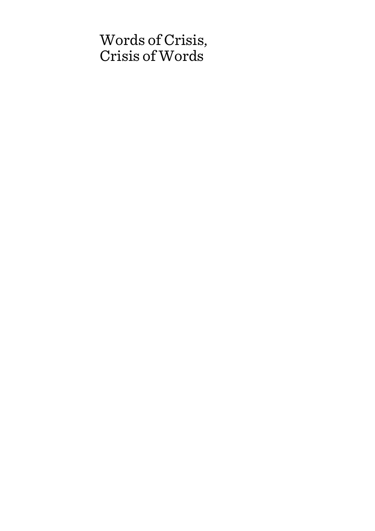# Words of Crisis, Crisis of Words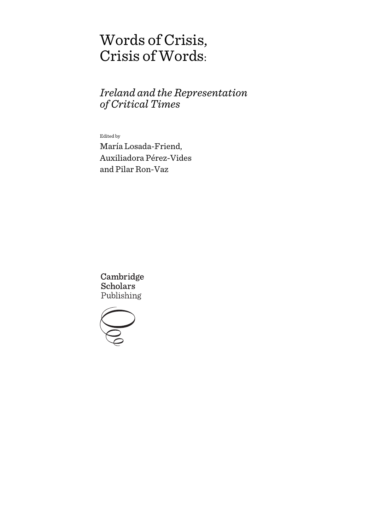# Words of Crisis, Crisis of Words:

## *Ireland and the Representation of Critical Times*

Edited by

María Losada-Friend, Auxiliadora Pérez-Vides and Pilar Ron-Vaz

Cambridge **Scholars** Publishing

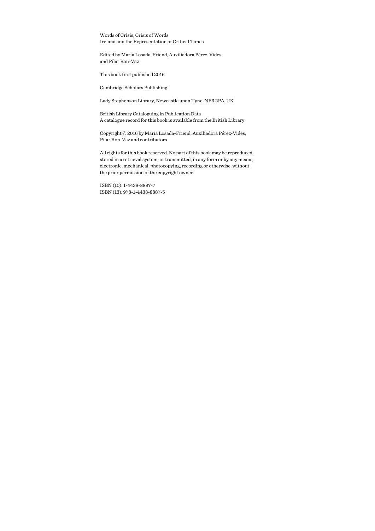Words of Crisis, Crisis of Words: Ireland and the Representation of Critical Times

Edited by María Losada-Friend, Auxiliadora Pérez-Vides and Pilar Ron-Vaz

This book first published 2016

Cambridge Scholars Publishing

Lady Stephenson Library, Newcastle upon Tyne, NE6 2PA, UK

British Library Cataloguing in Publication Data A catalogue record for this book is available from the British Library

Copyright © 2016 by María Losada-Friend, Auxiliadora Pérez-Vides, Pilar Ron-Vaz and contributors

All rights for this book reserved. No part of this book may be reproduced, stored in a retrieval system, or transmitted, in any form or by any means, electronic, mechanical, photocopying, recording or otherwise, without the prior permission of the copyright owner.

ISBN (10): 1-4438-8887-7 ISBN (13): 978-1-4438-8887-5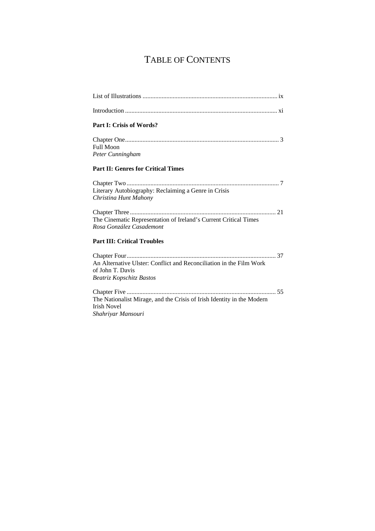## TABLE OF CONTENTS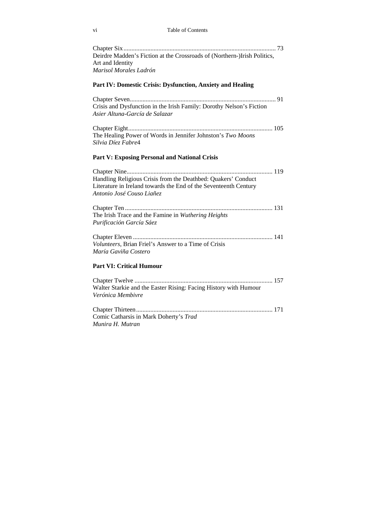#### vi Table of Contents

| Deirdre Madden's Fiction at the Crossroads of (Northern-)Irish Politics, |  |
|--------------------------------------------------------------------------|--|
| Art and Identity                                                         |  |
| Marisol Morales Ladrón                                                   |  |

#### **Part IV: Domestic Crisis: Dysfunction, Anxiety and Healing**

Chapter Seven ............................................................................................ 91 Crisis and Dysfunction in the Irish Family: Dorothy Nelson's Fiction *Asier Altuna-García de Salazar*

Chapter Eight ........................................................................................... 105 The Healing Power of Words in Jennifer Johnston's *Two Moons Silvia Díez Fabre*4

#### **Part V: Exposing Personal and National Crisis**

| Handling Religious Crisis from the Deathbed: Quakers' Conduct<br>Literature in Ireland towards the End of the Seventeenth Century<br>Antonio José Couso Liañez |  |
|----------------------------------------------------------------------------------------------------------------------------------------------------------------|--|
| The Irish Trace and the Famine in Wuthering Heights<br>Purificación García Sáez                                                                                |  |
| Volunteers, Brian Friel's Answer to a Time of Crisis<br>María Gaviña Costero                                                                                   |  |

### **Part VI: Critical Humour**

| Walter Starkie and the Easter Rising: Facing History with Humour |  |
|------------------------------------------------------------------|--|
| Verónica Membivre                                                |  |
|                                                                  |  |
|                                                                  |  |
| Comic Catharsis in Mark Doherty's Trad                           |  |
| Munira H. Mutran                                                 |  |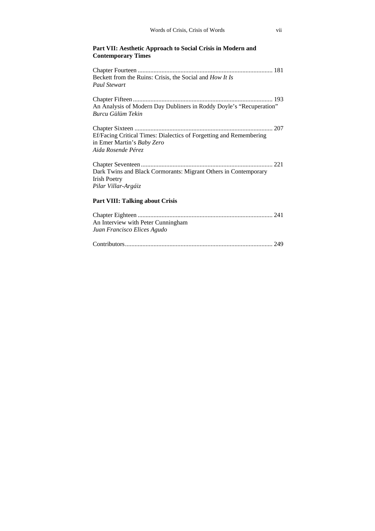### **Part VII: Aesthetic Approach to Social Crisis in Modern and Contemporary Times**

| Beckett from the Ruins: Crisis, the Social and How It Is<br><b>Paul Stewart</b>                                        |
|------------------------------------------------------------------------------------------------------------------------|
| An Analysis of Modern Day Dubliners in Roddy Doyle's "Recuperation"<br>Burcu Gülüm Tekin                               |
| Ef/Facing Critical Times: Dialectics of Forgetting and Remembering<br>in Emer Martin's Baby Zero<br>Aida Rosende Pérez |
| Dark Twins and Black Cormorants: Migrant Others in Contemporary<br><b>Irish Poetry</b><br>Pilar Villar-Argáiz          |
| <b>Part VIII: Talking about Crisis</b>                                                                                 |
| An Interview with Peter Cunningham<br>Juan Francisco Elices Agudo                                                      |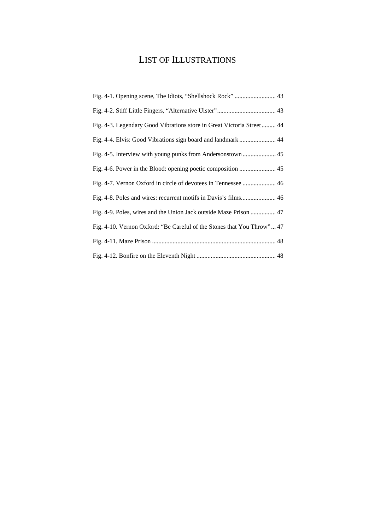## LIST OF ILLUSTRATIONS

| Fig. 4-3. Legendary Good Vibrations store in Great Victoria Street 44  |
|------------------------------------------------------------------------|
| Fig. 4-4. Elvis: Good Vibrations sign board and landmark  44           |
|                                                                        |
| Fig. 4-6. Power in the Blood: opening poetic composition  45           |
|                                                                        |
| Fig. 4-8. Poles and wires: recurrent motifs in Davis's films 46        |
| Fig. 4-9. Poles, wires and the Union Jack outside Maze Prison  47      |
| Fig. 4-10. Vernon Oxford: "Be Careful of the Stones that You Throw" 47 |
|                                                                        |
|                                                                        |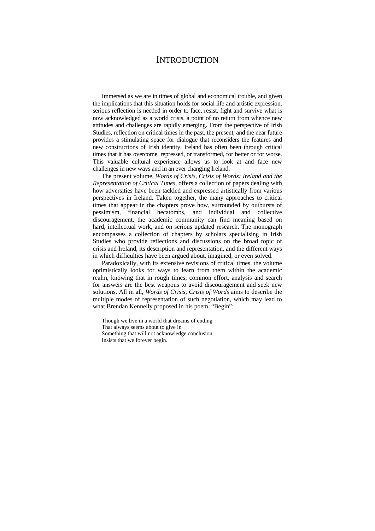### **INTRODUCTION**

Immersed as we are in times of global and economical trouble, and given the implications that this situation holds for social life and artistic expression, serious reflection is needed in order to face, resist, fight and survive what is now acknowledged as a world crisis, a point of no return from whence new attitudes and challenges are rapidly emerging. From the perspective of Irish Studies, reflection on critical times in the past, the present, and the near future provides a stimulating space for dialogue that reconsiders the features and new constructions of Irish identity. Ireland has often been through critical times that it has overcome, repressed, or transformed, for better or for worse. This valuable cultural experience allows us to look at and face new challenges in new ways and in an ever changing Ireland.

The present volume, *Words of Crisis, Crisis of Words: Ireland and the Representation of Critical Times*, offers a collection of papers dealing with how adversities have been tackled and expressed artistically from various perspectives in Ireland. Taken together, the many approaches to critical times that appear in the chapters prove how, surrounded by outbursts of pessimism, financial hecatombs, and individual and collective discouragement, the academic community can find meaning based on hard, intellectual work, and on serious updated research. The monograph encompasses a collection of chapters by scholars specialising in Irish Studies who provide reflections and discussions on the broad topic of crisis and Ireland, its description and representation, and the different ways in which difficulties have been argued about, imagined, or even solved.

Paradoxically, with its extensive revisions of critical times, the volume optimistically looks for ways to learn from them within the academic realm, knowing that in rough times, common effort, analysis and search for answers are the best weapons to avoid discouragement and seek new solutions. All in all, *Words of Crisis, Crisis of Words* aims to describe the multiple modes of representation of such negotiation, which may lead to what Brendan Kennelly proposed in his poem, "Begin":

Though we live in a world that dreams of ending That always seems about to give in Something that will not acknowledge conclusion Insists that we forever begin.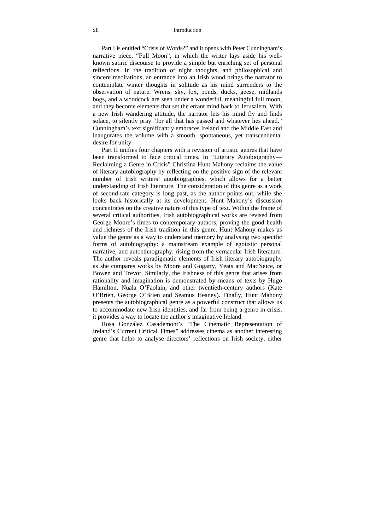Part I is entitled "Crisis of Words?" and it opens with Peter Cunningham's narrative piece, "Full Moon", in which the writer lays aside his wellknown satiric discourse to provide a simple but enriching set of personal reflections. In the tradition of night thoughts, and philosophical and sincere meditations, an entrance into an Irish wood brings the narrator to contemplate winter thoughts in solitude as his mind surrenders to the observation of nature. Wrens, sky, fox, ponds, ducks, geese, midlands bogs, and a woodcock are seen under a wonderful, meaningful full moon, and they become elements that set the errant mind back to Jerusalem. With a new Irish wandering attitude, the narrator lets his mind fly and finds solace, to silently pray "for all that has passed and whatever lies ahead." Cunningham's text significantly embraces Ireland and the Middle East and inaugurates the volume with a smooth, spontaneous, yet transcendental desire for unity.

Part II unifies four chapters with a revision of artistic genres that have been transformed to face critical times. In "Literary Autobiography— Reclaiming a Genre in Crisis" Christina Hunt Mahony reclaims the value of literary autobiography by reflecting on the positive sign of the relevant number of Irish writers' autobiographies, which allows for a better understanding of Irish literature. The consideration of this genre as a work of second-rate category is long past, as the author points out, while she looks back historically at its development. Hunt Mahony's discussion concentrates on the creative nature of this type of text. Within the frame of several critical authorities, Irish autobiographical works are revised from George Moore's times to contemporary authors, proving the good health and richness of the Irish tradition in this genre. Hunt Mahony makes us value the genre as a way to understand memory by analysing two specific forms of autobiography: a mainstream example of egotistic personal narrative, and autoethnography, rising from the vernacular Irish literature. The author reveals paradigmatic elements of Irish literary autobiography as she compares works by Moore and Gogarty, Yeats and MacNeice, or Bowen and Trevor. Similarly, the Irishness of this genre that arises from rationality and imagination is demonstrated by means of texts by Hugo Hamilton, Nuala O'Faolain, and other twentieth-century authors (Kate O'Brien, George O'Brien and Seamus Heaney). Finally, Hunt Mahony presents the autobiographical genre as a powerful construct that allows us to accommodate new Irish identities, and far from being a genre in crisis, it provides a way to locate the author's imaginative Ireland.

Rosa González Casademont's "The Cinematic Representation of Ireland's Current Critical Times" addresses cinema as another interesting genre that helps to analyse directors' reflections on Irish society, either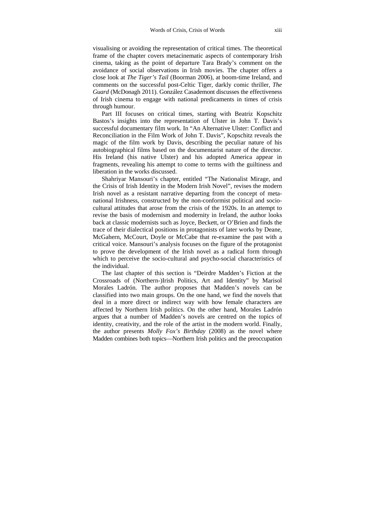visualising or avoiding the representation of critical times. The theoretical frame of the chapter covers metacinematic aspects of contemporary Irish cinema, taking as the point of departure Tara Brady's comment on the avoidance of social observations in Irish movies. The chapter offers a close look at *The Tiger's Tail* (Boorman 2006), at boom-time Ireland, and comments on the successful post-Celtic Tiger, darkly comic thriller, *The Guard* (McDonagh 2011). González Casademont discusses the effectiveness of Irish cinema to engage with national predicaments in times of crisis through humour.

Part III focuses on critical times, starting with Beatriz Kopschitz Bastos's insights into the representation of Ulster in John T. Davis's successful documentary film work. In "An Alternative Ulster: Conflict and Reconciliation in the Film Work of John T. Davis", Kopschitz reveals the magic of the film work by Davis, describing the peculiar nature of his autobiographical films based on the documentarist nature of the director. His Ireland (his native Ulster) and his adopted America appear in fragments, revealing his attempt to come to terms with the guiltiness and liberation in the works discussed.

Shahriyar Mansouri's chapter, entitled "The Nationalist Mirage, and the Crisis of Irish Identity in the Modern Irish Novel", revises the modern Irish novel as a resistant narrative departing from the concept of metanational Irishness, constructed by the non-conformist political and sociocultural attitudes that arose from the crisis of the 1920s. In an attempt to revise the basis of modernism and modernity in Ireland, the author looks back at classic modernists such as Joyce, Beckett, or O'Brien and finds the trace of their dialectical positions in protagonists of later works by Deane, McGahern, McCourt, Doyle or McCabe that re-examine the past with a critical voice. Mansouri's analysis focuses on the figure of the protagonist to prove the development of the Irish novel as a radical form through which to perceive the socio-cultural and psycho-social characteristics of the individual.

The last chapter of this section is "Deirdre Madden's Fiction at the Crossroads of (Northern-)Irish Politics, Art and Identity" by Marisol Morales Ladrón. The author proposes that Madden's novels can be classified into two main groups. On the one hand, we find the novels that deal in a more direct or indirect way with how female characters are affected by Northern Irish politics. On the other hand, Morales Ladrón argues that a number of Madden's novels are centred on the topics of identity, creativity, and the role of the artist in the modern world. Finally, the author presents *Molly Fox's Birthday* (2008) as the novel where Madden combines both topics—Northern Irish politics and the preoccupation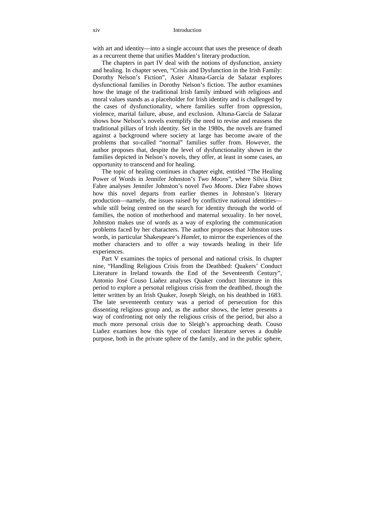with art and identity—into a single account that uses the presence of death as a recurrent theme that unifies Madden's literary production.

The chapters in part IV deal with the notions of dysfunction, anxiety and healing. In chapter seven, "Crisis and Dysfunction in the Irish Family: Dorothy Nelson's Fiction", Asier Altuna-García de Salazar explores dysfunctional families in Dorothy Nelson's fiction. The author examines how the image of the traditional Irish family imbued with religious and moral values stands as a placeholder for Irish identity and is challenged by the cases of dysfunctionality, where families suffer from oppression, violence, marital failure, abuse, and exclusion. Altuna-García de Salazar shows how Nelson's novels exemplify the need to revise and reassess the traditional pillars of Irish identity. Set in the 1980s, the novels are framed against a background where society at large has become aware of the problems that so-called "normal" families suffer from. However, the author proposes that, despite the level of dysfunctionality shown in the families depicted in Nelson's novels, they offer, at least in some cases, an opportunity to transcend and for healing.

The topic of healing continues in chapter eight, entitled "The Healing Power of Words in Jennifer Johnston's *Two Moons*", where Silvia Díez Fabre analyses Jennifer Johnston's novel *Two Moons*. Díez Fabre shows how this novel departs from earlier themes in Johnston's literary production—namely, the issues raised by conflictive national identities while still being centred on the search for identity through the world of families, the notion of motherhood and maternal sexuality. In her novel, Johnston makes use of words as a way of exploring the communication problems faced by her characters. The author proposes that Johnston uses words, in particular Shakespeare's *Hamlet*, to mirror the experiences of the mother characters and to offer a way towards healing in their life experiences.

Part V examines the topics of personal and national crisis. In chapter nine, "Handling Religious Crisis from the Deathbed: Quakers' Conduct Literature in Ireland towards the End of the Seventeenth Century", Antonio José Couso Liañez analyses Quaker conduct literature in this period to explore a personal religious crisis from the deathbed, though the letter written by an Irish Quaker, Joseph Sleigh, on his deathbed in 1683. The late seventeenth century was a period of persecution for this dissenting religious group and, as the author shows, the letter presents a way of confronting not only the religious crisis of the period, but also a much more personal crisis due to Sleigh's approaching death. Couso Liañez examines how this type of conduct literature serves a double purpose, both in the private sphere of the family, and in the public sphere,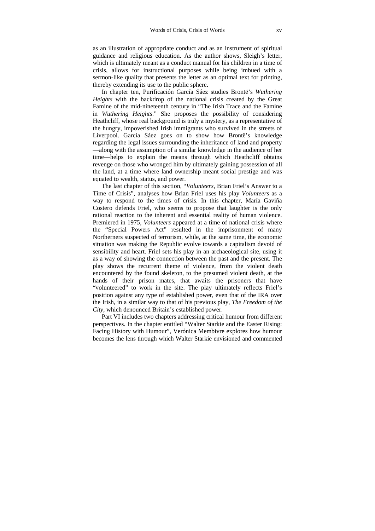as an illustration of appropriate conduct and as an instrument of spiritual guidance and religious education. As the author shows, Sleigh's letter, which is ultimately meant as a conduct manual for his children in a time of crisis, allows for instructional purposes while being imbued with a sermon-like quality that presents the letter as an optimal text for printing, thereby extending its use to the public sphere.

In chapter ten, Purificación García Sáez studies Brontë's *Wuthering Heights* with the backdrop of the national crisis created by the Great Famine of the mid-nineteenth century in "The Irish Trace and the Famine in *Wuthering Heights*." She proposes the possibility of considering Heathcliff, whose real background is truly a mystery, as a representative of the hungry, impoverished Irish immigrants who survived in the streets of Liverpool. García Sáez goes on to show how Brontë's knowledge regarding the legal issues surrounding the inheritance of land and property —along with the assumption of a similar knowledge in the audience of her time—helps to explain the means through which Heathcliff obtains revenge on those who wronged him by ultimately gaining possession of all the land, at a time where land ownership meant social prestige and was equated to wealth, status, and power.

The last chapter of this section, "*Volunteers*, Brian Friel's Answer to a Time of Crisis", analyses how Brian Friel uses his play *Volunteers* as a way to respond to the times of crisis. In this chapter, María Gaviña Costero defends Friel, who seems to propose that laughter is the only rational reaction to the inherent and essential reality of human violence. Premiered in 1975, *Volunteers* appeared at a time of national crisis where the "Special Powers Act" resulted in the imprisonment of many Northerners suspected of terrorism, while, at the same time, the economic situation was making the Republic evolve towards a capitalism devoid of sensibility and heart. Friel sets his play in an archaeological site, using it as a way of showing the connection between the past and the present. The play shows the recurrent theme of violence, from the violent death encountered by the found skeleton, to the presumed violent death, at the hands of their prison mates, that awaits the prisoners that have "volunteered" to work in the site. The play ultimately reflects Friel's position against any type of established power, even that of the IRA over the Irish, in a similar way to that of his previous play, *The Freedom of the City*, which denounced Britain's established power.

Part VI includes two chapters addressing critical humour from different perspectives. In the chapter entitled "Walter Starkie and the Easter Rising: Facing History with Humour", Verónica Membivre explores how humour becomes the lens through which Walter Starkie envisioned and commented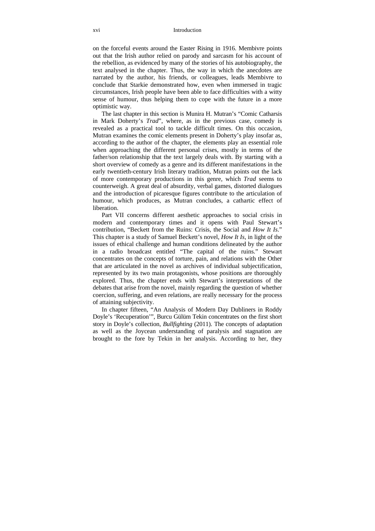#### xvi Introduction

on the forceful events around the Easter Rising in 1916. Membivre points out that the Irish author relied on parody and sarcasm for his account of the rebellion, as evidenced by many of the stories of his autobiography, the text analysed in the chapter. Thus, the way in which the anecdotes are narrated by the author, his friends, or colleagues, leads Membivre to conclude that Starkie demonstrated how, even when immersed in tragic circumstances, Irish people have been able to face difficulties with a witty sense of humour, thus helping them to cope with the future in a more optimistic way.

The last chapter in this section is Munira H. Mutran's "Comic Catharsis in Mark Doherty's *Trad*", where, as in the previous case, comedy is revealed as a practical tool to tackle difficult times. On this occasion, Mutran examines the comic elements present in Doherty's play insofar as, according to the author of the chapter, the elements play an essential role when approaching the different personal crises, mostly in terms of the father/son relationship that the text largely deals with. By starting with a short overview of comedy as a genre and its different manifestations in the early twentieth-century Irish literary tradition, Mutran points out the lack of more contemporary productions in this genre, which *Trad* seems to counterweigh. A great deal of absurdity, verbal games, distorted dialogues and the introduction of picaresque figures contribute to the articulation of humour, which produces, as Mutran concludes, a cathartic effect of liberation.

Part VII concerns different aesthetic approaches to social crisis in modern and contemporary times and it opens with Paul Stewart's contribution, "Beckett from the Ruins: Crisis, the Social and *How It Is*." This chapter is a study of Samuel Beckett's novel, *How It Is*, in light of the issues of ethical challenge and human conditions delineated by the author in a radio broadcast entitled "The capital of the ruins." Stewart concentrates on the concepts of torture, pain, and relations with the Other that are articulated in the novel as archives of individual subjectification, represented by its two main protagonists, whose positions are thoroughly explored. Thus, the chapter ends with Stewart's interpretations of the debates that arise from the novel, mainly regarding the question of whether coercion, suffering, and even relations, are really necessary for the process of attaining subjectivity.

In chapter fifteen, "An Analysis of Modern Day Dubliners in Roddy Doyle's 'Recuperation'", Burcu Gülüm Tekin concentrates on the first short story in Doyle's collection, *Bullfighting* (2011). The concepts of adaptation as well as the Joycean understanding of paralysis and stagnation are brought to the fore by Tekin in her analysis. According to her, they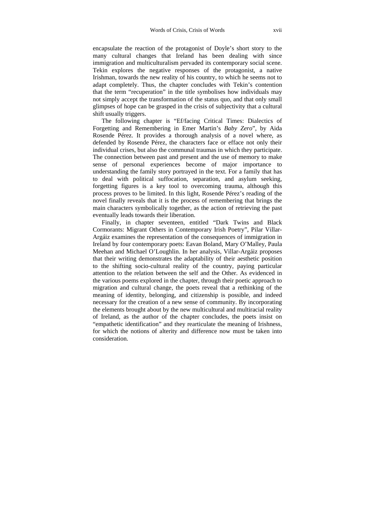encapsulate the reaction of the protagonist of Doyle's short story to the many cultural changes that Ireland has been dealing with since immigration and multiculturalism pervaded its contemporary social scene. Tekin explores the negative responses of the protagonist, a native Irishman, towards the new reality of his country, to which he seems not to adapt completely. Thus, the chapter concludes with Tekin's contention that the term "recuperation" in the title symbolises how individuals may not simply accept the transformation of the status quo, and that only small glimpses of hope can be grasped in the crisis of subjectivity that a cultural shift usually triggers.

The following chapter is "Ef/facing Critical Times: Dialectics of Forgetting and Remembering in Emer Martin's *Baby Zero*", by Aida Rosende Pérez. It provides a thorough analysis of a novel where, as defended by Rosende Pérez, the characters face or efface not only their individual crises, but also the communal traumas in which they participate. The connection between past and present and the use of memory to make sense of personal experiences become of major importance to understanding the family story portrayed in the text. For a family that has to deal with political suffocation, separation, and asylum seeking, forgetting figures is a key tool to overcoming trauma, although this process proves to be limited. In this light, Rosende Pérez's reading of the novel finally reveals that it is the process of remembering that brings the main characters symbolically together, as the action of retrieving the past eventually leads towards their liberation.

Finally, in chapter seventeen, entitled "Dark Twins and Black Cormorants: Migrant Others in Contemporary Irish Poetry", Pilar Villar-Argáiz examines the representation of the consequences of immigration in Ireland by four contemporary poets: Eavan Boland, Mary O'Malley, Paula Meehan and Michael O'Loughlin. In her analysis, Villar-Argáiz proposes that their writing demonstrates the adaptability of their aesthetic position to the shifting socio-cultural reality of the country, paying particular attention to the relation between the self and the Other. As evidenced in the various poems explored in the chapter, through their poetic approach to migration and cultural change, the poets reveal that a rethinking of the meaning of identity, belonging, and citizenship is possible, and indeed necessary for the creation of a new sense of community. By incorporating the elements brought about by the new multicultural and multiracial reality of Ireland, as the author of the chapter concludes, the poets insist on "empathetic identification" and they rearticulate the meaning of Irishness, for which the notions of alterity and difference now must be taken into consideration.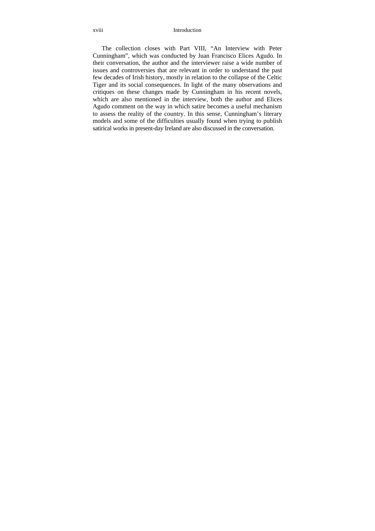The collection closes with Part VIII, "An Interview with Peter Cunningham", which was conducted by Juan Francisco Elices Agudo. In their conversation, the author and the interviewer raise a wide number of issues and controversies that are relevant in order to understand the past few decades of Irish history, mostly in relation to the collapse of the Celtic Tiger and its social consequences. In light of the many observations and critiques on these changes made by Cunningham in his recent novels, which are also mentioned in the interview, both the author and Elices Agudo comment on the way in which satire becomes a useful mechanism to assess the reality of the country. In this sense, Cunningham's literary models and some of the difficulties usually found when trying to publish satirical works in present-day Ireland are also discussed in the conversation.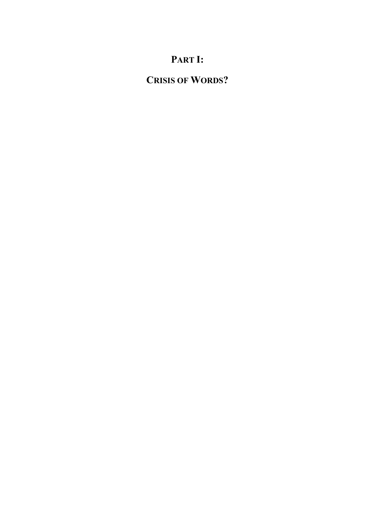## **PART I:**

## **CRISIS OF WORDS?**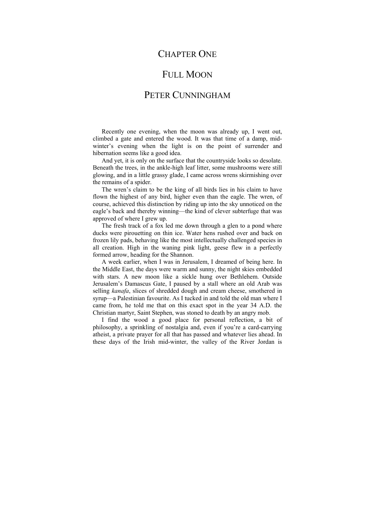### CHAPTER ONE

### FULL MOON

### PETER CUNNINGHAM

Recently one evening, when the moon was already up, I went out, climbed a gate and entered the wood. It was that time of a damp, midwinter's evening when the light is on the point of surrender and hibernation seems like a good idea.

And yet, it is only on the surface that the countryside looks so desolate. Beneath the trees, in the ankle-high leaf litter, some mushrooms were still glowing, and in a little grassy glade, I came across wrens skirmishing over the remains of a spider.

The wren's claim to be the king of all birds lies in his claim to have flown the highest of any bird, higher even than the eagle. The wren, of course, achieved this distinction by riding up into the sky unnoticed on the eagle's back and thereby winning—the kind of clever subterfuge that was approved of where I grew up.

The fresh track of a fox led me down through a glen to a pond where ducks were pirouetting on thin ice. Water hens rushed over and back on frozen lily pads, behaving like the most intellectually challenged species in all creation. High in the waning pink light, geese flew in a perfectly formed arrow, heading for the Shannon.

A week earlier, when I was in Jerusalem, I dreamed of being here. In the Middle East, the days were warm and sunny, the night skies embedded with stars. A new moon like a sickle hung over Bethlehem. Outside Jerusalem's Damascus Gate, I paused by a stall where an old Arab was selling *kanafa*, slices of shredded dough and cream cheese, smothered in syrup—a Palestinian favourite. As I tucked in and told the old man where I came from, he told me that on this exact spot in the year 34 A.D. the Christian martyr, Saint Stephen, was stoned to death by an angry mob.

I find the wood a good place for personal reflection, a bit of philosophy, a sprinkling of nostalgia and, even if you're a card-carrying atheist, a private prayer for all that has passed and whatever lies ahead. In these days of the Irish mid-winter, the valley of the River Jordan is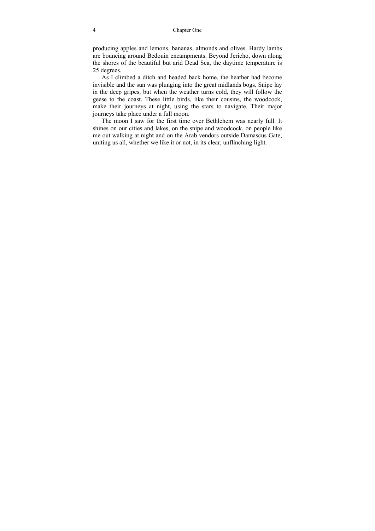producing apples and lemons, bananas, almonds and olives. Hardy lambs are bouncing around Bedouin encampments. Beyond Jericho, down along the shores of the beautiful but arid Dead Sea, the daytime temperature is 25 degrees.

As I climbed a ditch and headed back home, the heather had become invisible and the sun was plunging into the great midlands bogs. Snipe lay in the deep gripes, but when the weather turns cold, they will follow the geese to the coast. These little birds, like their cousins, the woodcock, make their journeys at night, using the stars to navigate. Their major journeys take place under a full moon.

The moon I saw for the first time over Bethlehem was nearly full. It shines on our cities and lakes, on the snipe and woodcock, on people like me out walking at night and on the Arab vendors outside Damascus Gate, uniting us all, whether we like it or not, in its clear, unflinching light.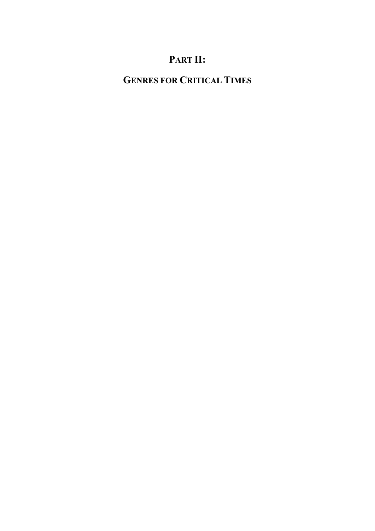## **PART II:**

## **GENRES FOR CRITICAL TIMES**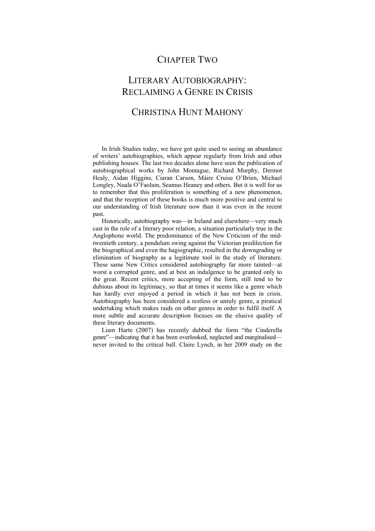### CHAPTER TWO

## LITERARY AUTOBIOGRAPHY: RECLAIMING A GENRE IN CRISIS

### CHRISTINA HUNT MAHONY

In Irish Studies today, we have got quite used to seeing an abundance of writers' autobiographies, which appear regularly from Irish and other publishing houses. The last two decades alone have seen the publication of autobiographical works by John Montague, Richard Murphy, Dermot Healy, Aidan Higgins, Ciaran Carson, Máire Cruise O'Brien, Michael Longley, Nuala O'Faolain, Seamus Heaney and others. But it is well for us to remember that this proliferation is something of a new phenomenon, and that the reception of these books is much more positive and central to our understanding of Irish literature now than it was even in the recent past.

Historically, autobiography was—in Ireland and elsewhere—very much cast in the role of a literary poor relation, a situation particularly true in the Anglophone world. The predominance of the New Criticism of the midtwentieth century, a pendulum swing against the Victorian predilection for the biographical and even the hagiographic, resulted in the downgrading or elimination of biography as a legitimate tool in the study of literature. These same New Critics considered autobiography far more tainted—at worst a corrupted genre, and at best an indulgence to be granted only to the great. Recent critics, more accepting of the form, still tend to be dubious about its legitimacy, so that at times it seems like a genre which has hardly ever enjoyed a period in which it has not been in crisis. Autobiography has been considered a restless or unruly genre, a piratical undertaking which makes raids on other genres in order to fulfil itself. A more subtle and accurate description focuses on the elusive quality of these literary documents.

Liam Harte (2007) has recently dubbed the form "the Cinderella genre"—indicating that it has been overlooked, neglected and marginalised never invited to the critical ball. Claire Lynch, in her 2009 study on the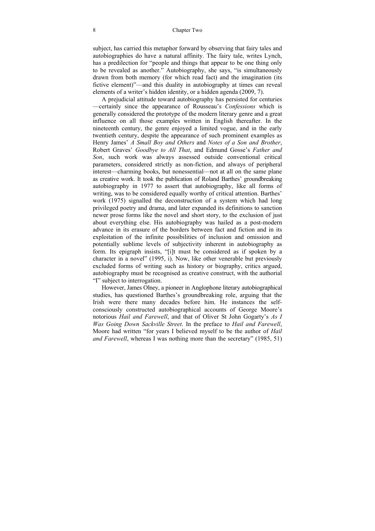#### 8 Chapter Two

subject, has carried this metaphor forward by observing that fairy tales and autobiographies do have a natural affinity. The fairy tale, writes Lynch, has a predilection for "people and things that appear to be one thing only to be revealed as another." Autobiography, she says, "is simultaneously drawn from both memory (for which read fact) and the imagination (its fictive element)"—and this duality in autobiography at times can reveal elements of a writer's hidden identity, or a hidden agenda (2009, 7).

A prejudicial attitude toward autobiography has persisted for centuries —certainly since the appearance of Rousseau's *Confessions* which is generally considered the prototype of the modern literary genre and a great influence on all those examples written in English thereafter. In the nineteenth century, the genre enjoyed a limited vogue, and in the early twentieth century, despite the appearance of such prominent examples as Henry James' *A Small Boy and Others* and *Notes of a Son and Brother*, Robert Graves' *Goodbye to All That*, and Edmund Gosse's *Father and Son*, such work was always assessed outside conventional critical parameters, considered strictly as non-fiction, and always of peripheral interest—charming books, but nonessential—not at all on the same plane as creative work. It took the publication of Roland Barthes' groundbreaking autobiography in 1977 to assert that autobiography, like all forms of writing, was to be considered equally worthy of critical attention. Barthes' work (1975) signalled the deconstruction of a system which had long privileged poetry and drama, and later expanded its definitions to sanction newer prose forms like the novel and short story, to the exclusion of just about everything else. His autobiography was hailed as a post-modern advance in its erasure of the borders between fact and fiction and in its exploitation of the infinite possibilities of inclusion and omission and potentially sublime levels of subjectivity inherent in autobiography as form. Its epigraph insists, "[i]t must be considered as if spoken by a character in a novel" (1995, i). Now, like other venerable but previously excluded forms of writing such as history or biography, critics argued, autobiography must be recognised as creative construct, with the authorial "I" subject to interrogation.

However, James Olney, a pioneer in Anglophone literary autobiographical studies, has questioned Barthes's groundbreaking role, arguing that the Irish were there many decades before him. He instances the selfconsciously constructed autobiographical accounts of George Moore's notorious *Hail and Farewell*, and that of Oliver St John Gogarty's *As I Was Going Down Sackville Street*. In the preface to *Hail and Farewell*, Moore had written "for years I believed myself to be the author of *Hail and Farewell*, whereas I was nothing more than the secretary" (1985, 51)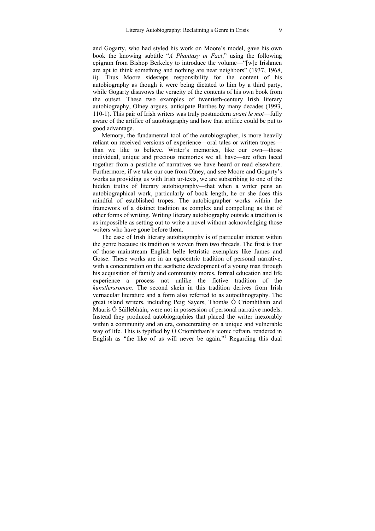and Gogarty, who had styled his work on Moore's model, gave his own book the knowing subtitle "*A Phantasy in Fact*," using the following epigram from Bishop Berkeley to introduce the volume—"[w]e Irishmen are apt to think something and nothing are near neighbors" (1937, 1968, ii). Thus Moore sidesteps responsibility for the content of his autobiography as though it were being dictated to him by a third party, while Gogarty disavows the veracity of the contents of his own book from the outset. These two examples of twentieth-century Irish literary autobiography, Olney argues, anticipate Barthes by many decades (1993, 110-1). This pair of Irish writers was truly postmodern *avant le mot*—fully aware of the artifice of autobiography and how that artifice could be put to good advantage.

Memory, the fundamental tool of the autobiographer, is more heavily reliant on received versions of experience—oral tales or written tropes than we like to believe. Writer's memories, like our own—those individual, unique and precious memories we all have—are often laced together from a pastiche of narratives we have heard or read elsewhere. Furthermore, if we take our cue from Olney, and see Moore and Gogarty's works as providing us with Irish ur-texts, we are subscribing to one of the hidden truths of literary autobiography—that when a writer pens an autobiographical work, particularly of book length, he or she does this mindful of established tropes. The autobiographer works within the framework of a distinct tradition as complex and compelling as that of other forms of writing. Writing literary autobiography outside a tradition is as impossible as setting out to write a novel without acknowledging those writers who have gone before them.

The case of Irish literary autobiography is of particular interest within the genre because its tradition is woven from two threads. The first is that of those mainstream English belle lettristic exemplars like James and Gosse. These works are in an egocentric tradition of personal narrative, with a concentration on the aesthetic development of a young man through his acquisition of family and community mores, formal education and life experience—a process not unlike the fictive tradition of the *kunstlersroman*. The second skein in this tradition derives from Irish vernacular literature and a form also referred to as autoethnography. The great island writers, including Peig Sayers, Thomás Ó Criomhthain and Mauris Ó Súillebháin, were not in possession of personal narrative models. Instead they produced autobiographies that placed the writer inexorably within a community and an era, concentrating on a unique and vulnerable way of life. This is typified by Ó Criomhthain's iconic refrain, rendered in English as "the like of us will never be again."<sup>1</sup> Regarding this dual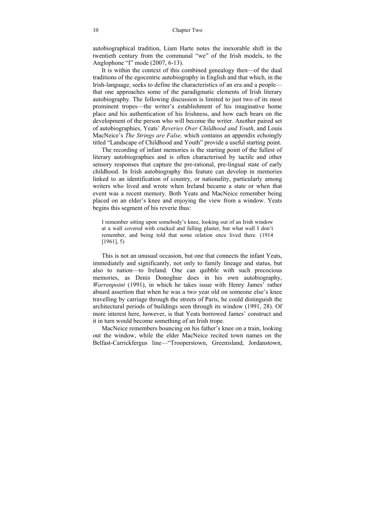autobiographical tradition, Liam Harte notes the inexorable shift in the twentieth century from the communal "we" of the Irish models, to the Anglophone "I" mode (2007, 6-13).

It is within the context of this combined genealogy then—of the dual traditions of the egocentric autobiography in English and that which, in the Irish-language, seeks to define the characteristics of an era and a people that one approaches some of the paradigmatic elements of Irish literary autobiography. The following discussion is limited to just two of its most prominent tropes—the writer's establishment of his imaginative home place and his authentication of his Irishness, and how each bears on the development of the person who will become the writer. Another paired set of autobiographies, Yeats' *Reveries Over Childhood and Youth*, and Louis MacNeice's *The Strings are False,* which contains an appendix echoingly titled "Landscape of Childhood and Youth" provide a useful starting point.

The recording of infant memories is the starting point of the fullest of literary autobiographies and is often characterised by tactile and other sensory responses that capture the pre-rational, pre-lingual state of early childhood. In Irish autobiography this feature can develop in memories linked to an identification of country, or nationality, particularly among writers who lived and wrote when Ireland became a state or when that event was a recent memory. Both Yeats and MacNeice remember being placed on an elder's knee and enjoying the view from a window. Yeats begins this segment of his reverie thus:

I remember sitting upon somebody's knee, looking out of an Irish window at a wall covered with cracked and falling plaster, but what wall I don't remember, and being told that some relation once lived there. (1914  $[1961]$ , 5)

This is not an unusual occasion, but one that connects the infant Yeats, immediately and significantly, not only to family lineage and status, but also to nation—to Ireland. One can quibble with such precocious memories, as Denis Donoghue does in his own autobiography, *Warrenpoint* (1991), in which he takes issue with Henry James' rather absurd assertion that when he was a two year old on someone else's knee travelling by carriage through the streets of Paris, he could distinguish the architectural periods of buildings seen through its window (1991, 28). Of more interest here, however, is that Yeats borrowed James' construct and it in turn would become something of an Irish trope.

MacNeice remembers bouncing on his father's knee on a train, looking out the window, while the elder MacNeice recited town names on the Belfast-Carrickfergus line—"Trooperstown, Greenisland, Jordanstown,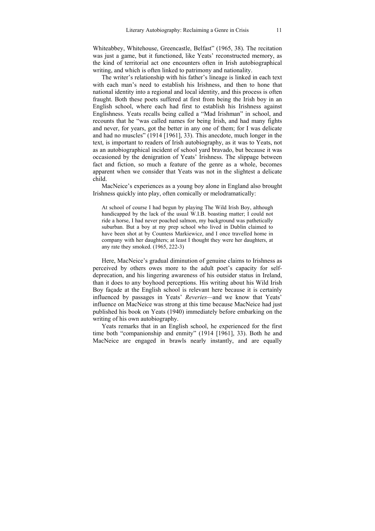Whiteabbey, Whitehouse, Greencastle, Belfast" (1965, 38). The recitation was just a game, but it functioned, like Yeats' reconstructed memory, as the kind of territorial act one encounters often in Irish autobiographical writing, and which is often linked to patrimony and nationality.

The writer's relationship with his father's lineage is linked in each text with each man's need to establish his Irishness, and then to hone that national identity into a regional and local identity, and this process is often fraught. Both these poets suffered at first from being the Irish boy in an English school, where each had first to establish his Irishness against Englishness. Yeats recalls being called a "Mad Irishman" in school, and recounts that he "was called names for being Irish, and had many fights and never, for years, got the better in any one of them; for I was delicate and had no muscles" (1914 [1961], 33). This anecdote, much longer in the text, is important to readers of Irish autobiography, as it was to Yeats, not as an autobiographical incident of school yard bravado, but because it was occasioned by the denigration of Yeats' Irishness. The slippage between fact and fiction, so much a feature of the genre as a whole, becomes apparent when we consider that Yeats was not in the slightest a delicate child.

MacNeice's experiences as a young boy alone in England also brought Irishness quickly into play, often comically or melodramatically:

At school of course I had begun by playing The Wild Irish Boy, although handicapped by the lack of the usual W.I.B. boasting matter; I could not ride a horse, I had never poached salmon, my background was pathetically suburban. But a boy at my prep school who lived in Dublin claimed to have been shot at by Countess Markiewicz, and I once travelled home in company with her daughters; at least I thought they were her daughters, at any rate they smoked. (1965, 222-3)

Here, MacNeice's gradual diminution of genuine claims to Irishness as perceived by others owes more to the adult poet's capacity for selfdeprecation, and his lingering awareness of his outsider status in Ireland, than it does to any boyhood perceptions. His writing about his Wild Irish Boy façade at the English school is relevant here because it is certainly influenced by passages in Yeats' *Reveries—*and we know that Yeats' influence on MacNeice was strong at this time because MacNeice had just published his book on Yeats (1940) immediately before embarking on the writing of his own autobiography.

Yeats remarks that in an English school, he experienced for the first time both "companionship and enmity" (1914 [1961], 33). Both he and MacNeice are engaged in brawls nearly instantly, and are equally